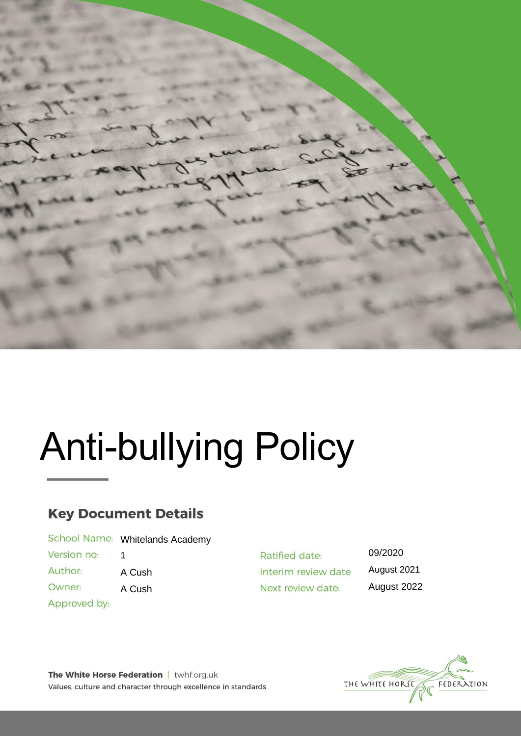

# Anti-bullying Policy

# **Key Document Details**

|  | School Name: Whitelands Academy |
|--|---------------------------------|
|--|---------------------------------|

Version no: 1

Author: A Cush

Owner: A Cush

Approved by:

Ratified date: Interim review date Next review date:

09/2020 August 2021 August 2022

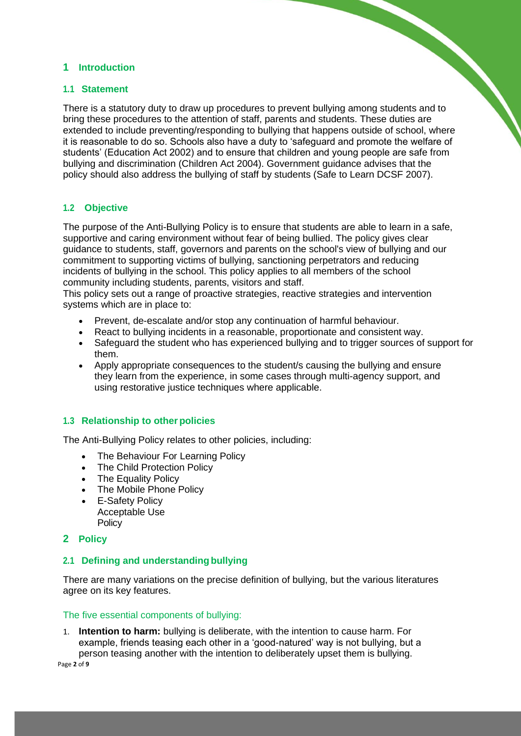# **1 Introduction**

#### **1.1 Statement**

There is a statutory duty to draw up procedures to prevent bullying among students and to bring these procedures to the attention of staff, parents and students. These duties are extended to include preventing/responding to bullying that happens outside of school, where it is reasonable to do so. Schools also have a duty to 'safeguard and promote the welfare of students' (Education Act 2002) and to ensure that children and young people are safe from bullying and discrimination (Children Act 2004). Government guidance advises that the policy should also address the bullying of staff by students (Safe to Learn DCSF 2007).

# **1.2 Objective**

The purpose of the Anti-Bullying Policy is to ensure that students are able to learn in a safe, supportive and caring environment without fear of being bullied. The policy gives clear guidance to students, staff, governors and parents on the school's view of bullying and our commitment to supporting victims of bullying, sanctioning perpetrators and reducing incidents of bullying in the school. This policy applies to all members of the school community including students, parents, visitors and staff.

This policy sets out a range of proactive strategies, reactive strategies and intervention systems which are in place to:

- Prevent, de-escalate and/or stop any continuation of harmful behaviour.
- React to bullying incidents in a reasonable, proportionate and consistent way.
- Safeguard the student who has experienced bullying and to trigger sources of support for them.
- Apply appropriate consequences to the student/s causing the bullying and ensure they learn from the experience, in some cases through multi-agency support, and using restorative justice techniques where applicable.

# **1.3 Relationship to other policies**

The Anti-Bullying Policy relates to other policies, including:

- The Behaviour For Learning Policy
- The Child Protection Policy
- The Equality Policy
- The Mobile Phone Policy
- E-Safety Policy Acceptable Use **Policy**

#### **2 Policy**

# **2.1 Defining and understandingbullying**

There are many variations on the precise definition of bullying, but the various literatures agree on its key features.

#### The five essential components of bullying:

1. **Intention to harm:** bullying is deliberate, with the intention to cause harm. For example, friends teasing each other in a 'good-natured' way is not bullying, but a person teasing another with the intention to deliberately upset them is bullying.

Page **2** of **9**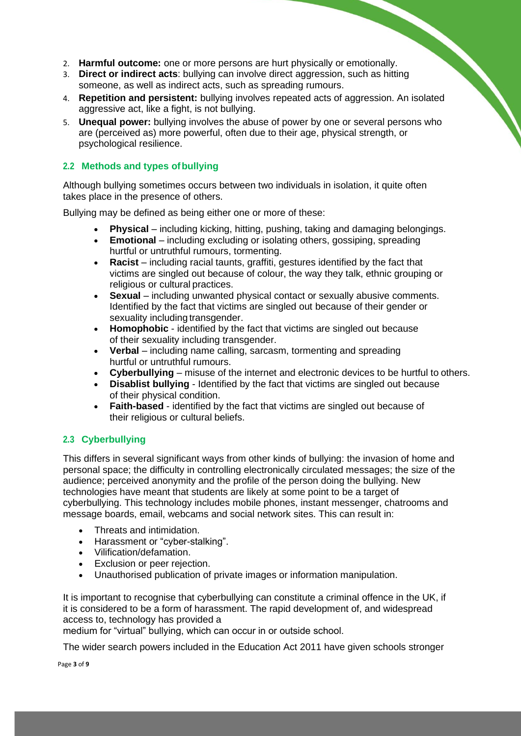- 2. **Harmful outcome:** one or more persons are hurt physically or emotionally.
- 3. **Direct or indirect acts**: bullying can involve direct aggression, such as hitting someone, as well as indirect acts, such as spreading rumours.
- 4. **Repetition and persistent:** bullying involves repeated acts of aggression. An isolated aggressive act, like a fight, is not bullying.
- 5. **Unequal power:** bullying involves the abuse of power by one or several persons who are (perceived as) more powerful, often due to their age, physical strength, or psychological resilience.

# **2.2 Methods and types ofbullying**

Although bullying sometimes occurs between two individuals in isolation, it quite often takes place in the presence of others.

Bullying may be defined as being either one or more of these:

- **Physical** including kicking, hitting, pushing, taking and damaging belongings.
- **Emotional**  including excluding or isolating others, gossiping, spreading hurtful or untruthful rumours, tormenting.
- **Racist** including racial taunts, graffiti, gestures identified by the fact that victims are singled out because of colour, the way they talk, ethnic grouping or religious or cultural practices.
- **Sexual** including unwanted physical contact or sexually abusive comments. Identified by the fact that victims are singled out because of their gender or sexuality including transgender.
- **Homophobic**  identified by the fact that victims are singled out because of their sexuality including transgender.
- Verbal including name calling, sarcasm, tormenting and spreading hurtful or untruthful rumours.
- **Cyberbullying**  misuse of the internet and electronic devices to be hurtful to others.
- **Disablist bullying**  Identified by the fact that victims are singled out because of their physical condition.
- **Faith-based**  identified by the fact that victims are singled out because of their religious or cultural beliefs.

# **2.3 Cyberbullying**

This differs in several significant ways from other kinds of bullying: the invasion of home and personal space; the difficulty in controlling electronically circulated messages; the size of the audience; perceived anonymity and the profile of the person doing the bullying. New technologies have meant that students are likely at some point to be a target of cyberbullying. This technology includes mobile phones, instant messenger, chatrooms and message boards, email, webcams and social network sites. This can result in:

- Threats and intimidation.
- Harassment or "cyber-stalking".
- Vilification/defamation.
- Exclusion or peer rejection.
- Unauthorised publication of private images or information manipulation.

It is important to recognise that cyberbullying can constitute a criminal offence in the UK, if it is considered to be a form of harassment. The rapid development of, and widespread access to, technology has provided a

medium for "virtual" bullying, which can occur in or outside school.

The wider search powers included in the Education Act 2011 have given schools stronger

Page **3** of **9**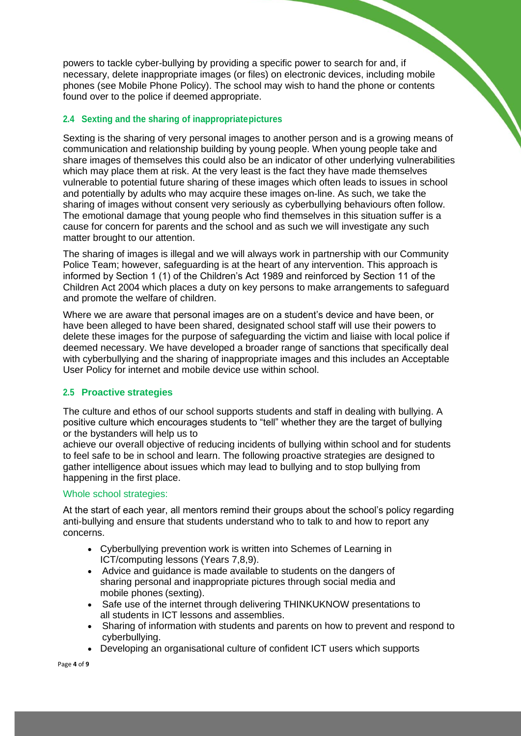powers to tackle cyber-bullying by providing a specific power to search for and, if necessary, delete inappropriate images (or files) on electronic devices, including mobile phones (see Mobile Phone Policy). The school may wish to hand the phone or contents found over to the police if deemed appropriate.

# **2.4 Sexting and the sharing of inappropriatepictures**

Sexting is the sharing of very personal images to another person and is a growing means of communication and relationship building by young people. When young people take and share images of themselves this could also be an indicator of other underlying vulnerabilities which may place them at risk. At the very least is the fact they have made themselves vulnerable to potential future sharing of these images which often leads to issues in school and potentially by adults who may acquire these images on-line. As such, we take the sharing of images without consent very seriously as cyberbullying behaviours often follow. The emotional damage that young people who find themselves in this situation suffer is a cause for concern for parents and the school and as such we will investigate any such matter brought to our attention.

The sharing of images is illegal and we will always work in partnership with our Community Police Team; however, safeguarding is at the heart of any intervention. This approach is informed by Section 1 (1) of the Children's Act 1989 and reinforced by Section 11 of the Children Act 2004 which places a duty on key persons to make arrangements to safeguard and promote the welfare of children.

Where we are aware that personal images are on a student's device and have been, or have been alleged to have been shared, designated school staff will use their powers to delete these images for the purpose of safeguarding the victim and liaise with local police if deemed necessary. We have developed a broader range of sanctions that specifically deal with cyberbullying and the sharing of inappropriate images and this includes an Acceptable User Policy for internet and mobile device use within school.

# **2.5 Proactive strategies**

The culture and ethos of our school supports students and staff in dealing with bullying. A positive culture which encourages students to "tell" whether they are the target of bullying or the bystanders will help us to

achieve our overall objective of reducing incidents of bullying within school and for students to feel safe to be in school and learn. The following proactive strategies are designed to gather intelligence about issues which may lead to bullying and to stop bullying from happening in the first place.

# Whole school strategies:

At the start of each year, all mentors remind their groups about the school's policy regarding anti-bullying and ensure that students understand who to talk to and how to report any concerns.

- Cyberbullying prevention work is written into Schemes of Learning in ICT/computing lessons (Years 7,8,9).
- Advice and guidance is made available to students on the dangers of sharing personal and inappropriate pictures through social media and mobile phones (sexting).
- Safe use of the internet through delivering THINKUKNOW presentations to all students in ICT lessons and assemblies.
- Sharing of information with students and parents on how to prevent and respond to cyberbullying.
- Developing an organisational culture of confident ICT users which supports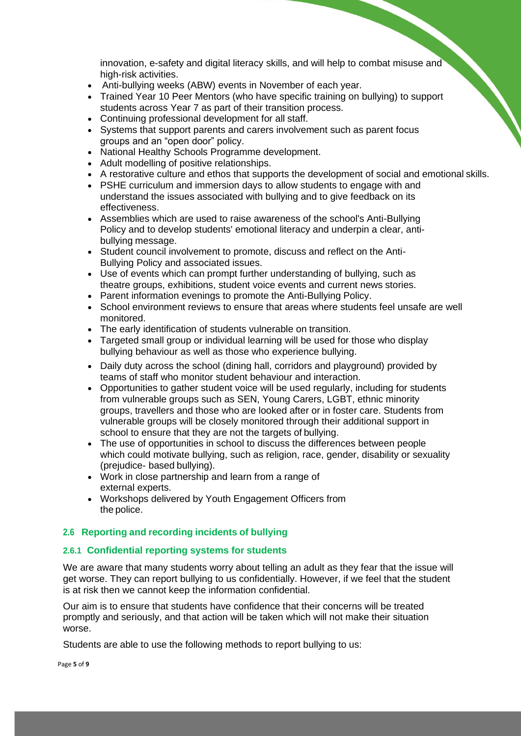innovation, e-safety and digital literacy skills, and will help to combat misuse and high-risk activities.

- Anti-bullying weeks (ABW) events in November of each year.
- Trained Year 10 Peer Mentors (who have specific training on bullying) to support students across Year 7 as part of their transition process.
- Continuing professional development for all staff.
- Systems that support parents and carers involvement such as parent focus groups and an "open door" policy.
- National Healthy Schools Programme development.
- Adult modelling of positive relationships.
- A restorative culture and ethos that supports the development of social and emotional skills.
- PSHE curriculum and immersion days to allow students to engage with and understand the issues associated with bullying and to give feedback on its effectiveness.
- Assemblies which are used to raise awareness of the school's Anti-Bullying Policy and to develop students' emotional literacy and underpin a clear, antibullying message.
- Student council involvement to promote, discuss and reflect on the Anti-Bullying Policy and associated issues.
- Use of events which can prompt further understanding of bullying, such as theatre groups, exhibitions, student voice events and current news stories.
- Parent information evenings to promote the Anti-Bullying Policy.
- School environment reviews to ensure that areas where students feel unsafe are well monitored.
- The early identification of students vulnerable on transition.
- Targeted small group or individual learning will be used for those who display bullying behaviour as well as those who experience bullying.
- Daily duty across the school (dining hall, corridors and playground) provided by teams of staff who monitor student behaviour and interaction.
- Opportunities to gather student voice will be used regularly, including for students from vulnerable groups such as SEN, Young Carers, LGBT, ethnic minority groups, travellers and those who are looked after or in foster care. Students from vulnerable groups will be closely monitored through their additional support in school to ensure that they are not the targets of bullying.
- The use of opportunities in school to discuss the differences between people which could motivate bullying, such as religion, race, gender, disability or sexuality (prejudice- based bullying).
- Work in close partnership and learn from a range of external experts.
- Workshops delivered by Youth Engagement Officers from the police.

# **2.6 Reporting and recording incidents of bullying**

# **2.6.1 Confidential reporting systems for students**

We are aware that many students worry about telling an adult as they fear that the issue will get worse. They can report bullying to us confidentially. However, if we feel that the student is at risk then we cannot keep the information confidential.

Our aim is to ensure that students have confidence that their concerns will be treated promptly and seriously, and that action will be taken which will not make their situation worse.

Students are able to use the following methods to report bullying to us:

Page **5** of **9**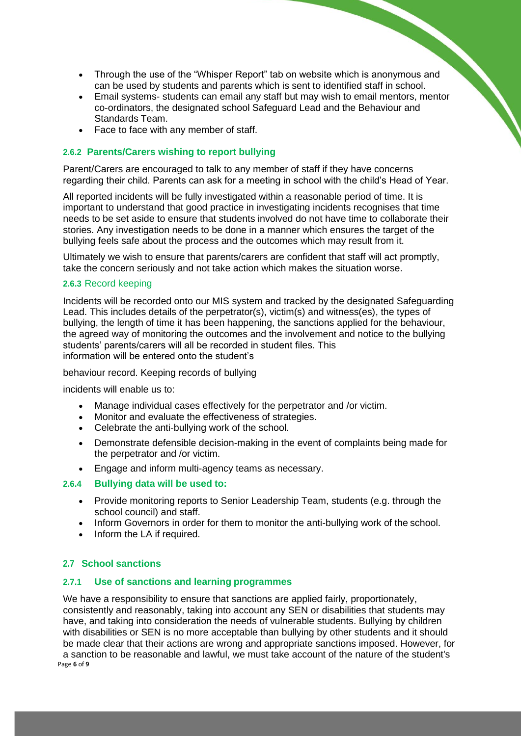- Through the use of the "Whisper Report" tab on website which is anonymous and can be used by students and parents which is sent to identified staff in school.
- Email systems- students can email any staff but may wish to email mentors, mentor co-ordinators, the designated school Safeguard Lead and the Behaviour and Standards Team.
- Face to face with any member of staff.

#### **2.6.2 Parents/Carers wishing to report bullying**

Parent/Carers are encouraged to talk to any member of staff if they have concerns regarding their child. Parents can ask for a meeting in school with the child's Head of Year.

All reported incidents will be fully investigated within a reasonable period of time. It is important to understand that good practice in investigating incidents recognises that time needs to be set aside to ensure that students involved do not have time to collaborate their stories. Any investigation needs to be done in a manner which ensures the target of the bullying feels safe about the process and the outcomes which may result from it.

Ultimately we wish to ensure that parents/carers are confident that staff will act promptly, take the concern seriously and not take action which makes the situation worse.

#### **2.6.3** Record keeping

Incidents will be recorded onto our MIS system and tracked by the designated Safeguarding Lead. This includes details of the perpetrator(s), victim(s) and witness(es), the types of bullying, the length of time it has been happening, the sanctions applied for the behaviour, the agreed way of monitoring the outcomes and the involvement and notice to the bullying students' parents/carers will all be recorded in student files. This information will be entered onto the student's

behaviour record. Keeping records of bullying

incidents will enable us to:

- Manage individual cases effectively for the perpetrator and /or victim.
- Monitor and evaluate the effectiveness of strategies.
- Celebrate the anti-bullying work of the school.
- Demonstrate defensible decision-making in the event of complaints being made for the perpetrator and /or victim.
- Engage and inform multi-agency teams as necessary.

#### **2.6.4 Bullying data will be used to:**

- Provide monitoring reports to Senior Leadership Team, students (e.g. through the school council) and staff.
- Inform Governors in order for them to monitor the anti-bullying work of the school.
- Inform the LA if required.

# **2.7 School sanctions**

#### **2.7.1 Use of sanctions and learning programmes**

Page **6** of **9** We have a responsibility to ensure that sanctions are applied fairly, proportionately, consistently and reasonably, taking into account any SEN or disabilities that students may have, and taking into consideration the needs of vulnerable students. Bullying by children with disabilities or SEN is no more acceptable than bullying by other students and it should be made clear that their actions are wrong and appropriate sanctions imposed. However, for a sanction to be reasonable and lawful, we must take account of the nature of the student's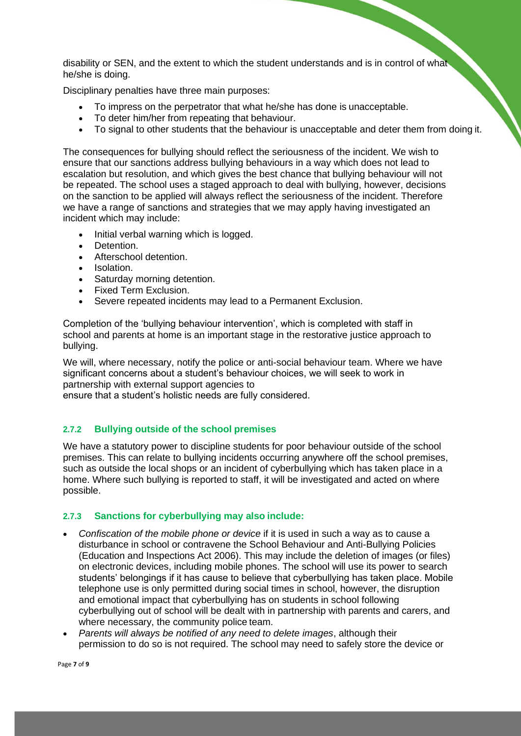disability or SEN, and the extent to which the student understands and is in control of what he/she is doing.

Disciplinary penalties have three main purposes:

- To impress on the perpetrator that what he/she has done is unacceptable.
- To deter him/her from repeating that behaviour.
- To signal to other students that the behaviour is unacceptable and deter them from doing it.

The consequences for bullying should reflect the seriousness of the incident. We wish to ensure that our sanctions address bullying behaviours in a way which does not lead to escalation but resolution, and which gives the best chance that bullying behaviour will not be repeated. The school uses a staged approach to deal with bullying, however, decisions on the sanction to be applied will always reflect the seriousness of the incident. Therefore we have a range of sanctions and strategies that we may apply having investigated an incident which may include:

- Initial verbal warning which is logged.
- Detention.
- Afterschool detention.
- Isolation.
- Saturday morning detention.
- Fixed Term Exclusion.
- Severe repeated incidents may lead to a Permanent Exclusion.

Completion of the 'bullying behaviour intervention', which is completed with staff in school and parents at home is an important stage in the restorative justice approach to bullying.

We will, where necessary, notify the police or anti-social behaviour team. Where we have significant concerns about a student's behaviour choices, we will seek to work in partnership with external support agencies to

ensure that a student's holistic needs are fully considered.

# **2.7.2 Bullying outside of the school premises**

We have a statutory power to discipline students for poor behaviour outside of the school premises. This can relate to bullying incidents occurring anywhere off the school premises, such as outside the local shops or an incident of cyberbullying which has taken place in a home. Where such bullying is reported to staff, it will be investigated and acted on where possible.

#### **2.7.3 Sanctions for cyberbullying may also include:**

- *Confiscation of the mobile phone or device* if it is used in such a way as to cause a disturbance in school or contravene the School Behaviour and Anti-Bullying Policies (Education and Inspections Act 2006). This may include the deletion of images (or files) on electronic devices, including mobile phones. The school will use its power to search students' belongings if it has cause to believe that cyberbullying has taken place. Mobile telephone use is only permitted during social times in school, however, the disruption and emotional impact that cyberbullying has on students in school following cyberbullying out of school will be dealt with in partnership with parents and carers, and where necessary, the community police team.
- *Parents will always be notified of any need to delete images*, although their permission to do so is not required. The school may need to safely store the device or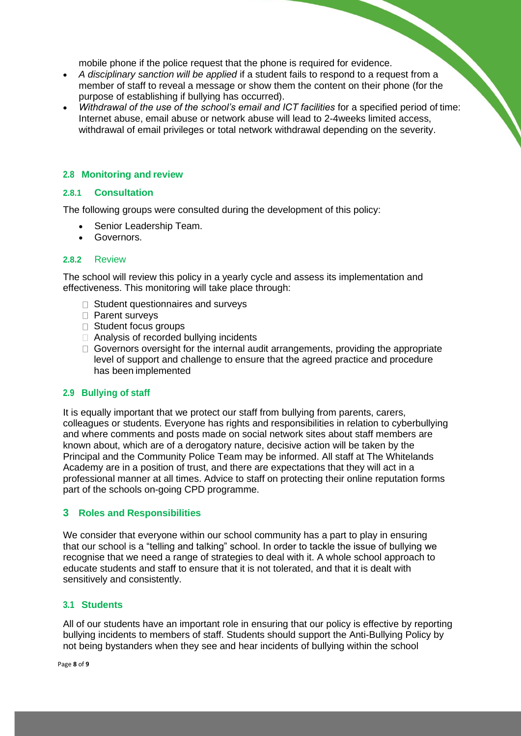mobile phone if the police request that the phone is required for evidence.

- *A disciplinary sanction will be applied* if a student fails to respond to a request from a member of staff to reveal a message or show them the content on their phone (for the purpose of establishing if bullying has occurred).
- *Withdrawal of the use of the school's email and ICT facilities* for a specified period of time: Internet abuse, email abuse or network abuse will lead to 2-4weeks limited access, withdrawal of email privileges or total network withdrawal depending on the severity.

# **2.8 Monitoring and review**

#### **2.8.1 Consultation**

The following groups were consulted during the development of this policy:

- Senior Leadership Team.
- Governors.

#### **2.8.2** Review

The school will review this policy in a yearly cycle and assess its implementation and effectiveness. This monitoring will take place through:

- □ Student questionnaires and surveys
- □ Parent surveys
- □ Student focus groups
- □ Analysis of recorded bullying incidents
- $\Box$  Governors oversight for the internal audit arrangements, providing the appropriate level of support and challenge to ensure that the agreed practice and procedure has been implemented

# **2.9 Bullying of staff**

It is equally important that we protect our staff from bullying from parents, carers, colleagues or students. Everyone has rights and responsibilities in relation to cyberbullying and where comments and posts made on social network sites about staff members are known about, which are of a derogatory nature, decisive action will be taken by the Principal and the Community Police Team may be informed. All staff at The Whitelands Academy are in a position of trust, and there are expectations that they will act in a professional manner at all times. Advice to staff on protecting their online reputation forms part of the schools on-going CPD programme.

# **3 Roles and Responsibilities**

We consider that everyone within our school community has a part to play in ensuring that our school is a "telling and talking" school. In order to tackle the issue of bullying we recognise that we need a range of strategies to deal with it. A whole school approach to educate students and staff to ensure that it is not tolerated, and that it is dealt with sensitively and consistently.

# **3.1 Students**

All of our students have an important role in ensuring that our policy is effective by reporting bullying incidents to members of staff. Students should support the Anti-Bullying Policy by not being bystanders when they see and hear incidents of bullying within the school